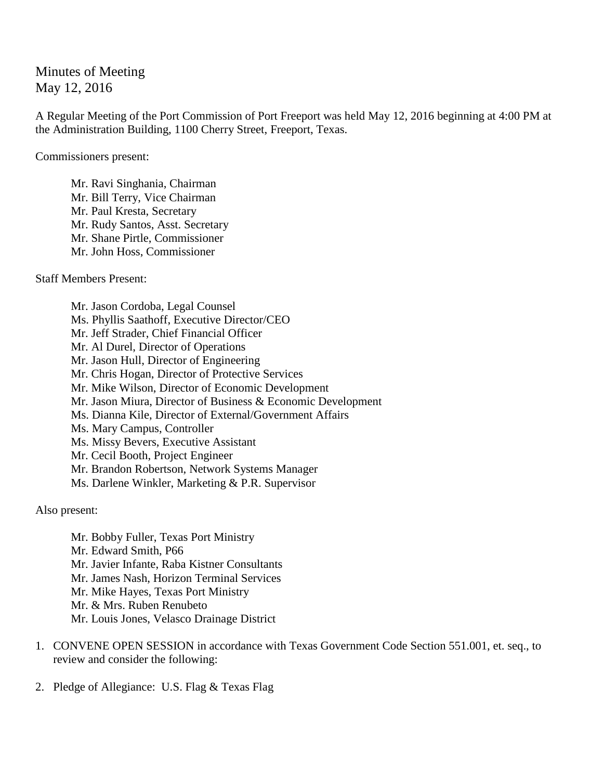Minutes of Meeting May 12, 2016

A Regular Meeting of the Port Commission of Port Freeport was held May 12, 2016 beginning at 4:00 PM at the Administration Building, 1100 Cherry Street, Freeport, Texas.

Commissioners present:

Mr. Ravi Singhania, Chairman Mr. Bill Terry, Vice Chairman Mr. Paul Kresta, Secretary Mr. Rudy Santos, Asst. Secretary Mr. Shane Pirtle, Commissioner Mr. John Hoss, Commissioner

Staff Members Present:

Mr. Jason Cordoba, Legal Counsel Ms. Phyllis Saathoff, Executive Director/CEO Mr. Jeff Strader, Chief Financial Officer Mr. Al Durel, Director of Operations Mr. Jason Hull, Director of Engineering Mr. Chris Hogan, Director of Protective Services Mr. Mike Wilson, Director of Economic Development Mr. Jason Miura, Director of Business & Economic Development Ms. Dianna Kile, Director of External/Government Affairs Ms. Mary Campus, Controller Ms. Missy Bevers, Executive Assistant Mr. Cecil Booth, Project Engineer Mr. Brandon Robertson, Network Systems Manager Ms. Darlene Winkler, Marketing & P.R. Supervisor

Also present:

Mr. Bobby Fuller, Texas Port Ministry Mr. Edward Smith, P66 Mr. Javier Infante, Raba Kistner Consultants Mr. James Nash, Horizon Terminal Services Mr. Mike Hayes, Texas Port Ministry Mr. & Mrs. Ruben Renubeto Mr. Louis Jones, Velasco Drainage District

- 1. CONVENE OPEN SESSION in accordance with Texas Government Code Section 551.001, et. seq., to review and consider the following:
- 2. Pledge of Allegiance: U.S. Flag & Texas Flag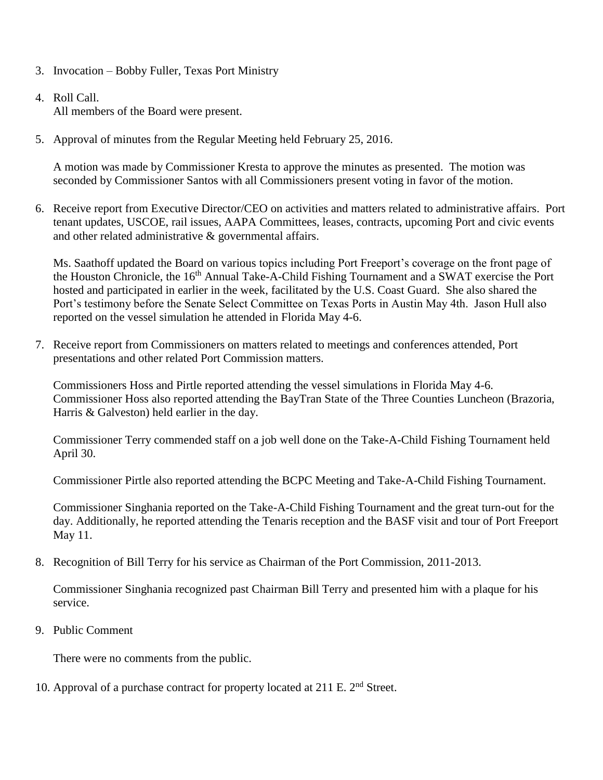- 3. Invocation Bobby Fuller, Texas Port Ministry
- 4. Roll Call. All members of the Board were present.
- 5. Approval of minutes from the Regular Meeting held February 25, 2016.

A motion was made by Commissioner Kresta to approve the minutes as presented. The motion was seconded by Commissioner Santos with all Commissioners present voting in favor of the motion.

6. Receive report from Executive Director/CEO on activities and matters related to administrative affairs. Port tenant updates, USCOE, rail issues, AAPA Committees, leases, contracts, upcoming Port and civic events and other related administrative & governmental affairs.

Ms. Saathoff updated the Board on various topics including Port Freeport's coverage on the front page of the Houston Chronicle, the 16<sup>th</sup> Annual Take-A-Child Fishing Tournament and a SWAT exercise the Port hosted and participated in earlier in the week, facilitated by the U.S. Coast Guard. She also shared the Port's testimony before the Senate Select Committee on Texas Ports in Austin May 4th. Jason Hull also reported on the vessel simulation he attended in Florida May 4-6.

7. Receive report from Commissioners on matters related to meetings and conferences attended, Port presentations and other related Port Commission matters.

Commissioners Hoss and Pirtle reported attending the vessel simulations in Florida May 4-6. Commissioner Hoss also reported attending the BayTran State of the Three Counties Luncheon (Brazoria, Harris & Galveston) held earlier in the day.

Commissioner Terry commended staff on a job well done on the Take-A-Child Fishing Tournament held April 30.

Commissioner Pirtle also reported attending the BCPC Meeting and Take-A-Child Fishing Tournament.

Commissioner Singhania reported on the Take-A-Child Fishing Tournament and the great turn-out for the day. Additionally, he reported attending the Tenaris reception and the BASF visit and tour of Port Freeport May 11.

8. Recognition of Bill Terry for his service as Chairman of the Port Commission, 2011-2013.

Commissioner Singhania recognized past Chairman Bill Terry and presented him with a plaque for his service.

9. Public Comment

There were no comments from the public.

10. Approval of a purchase contract for property located at  $211$  E.  $2<sup>nd</sup>$  Street.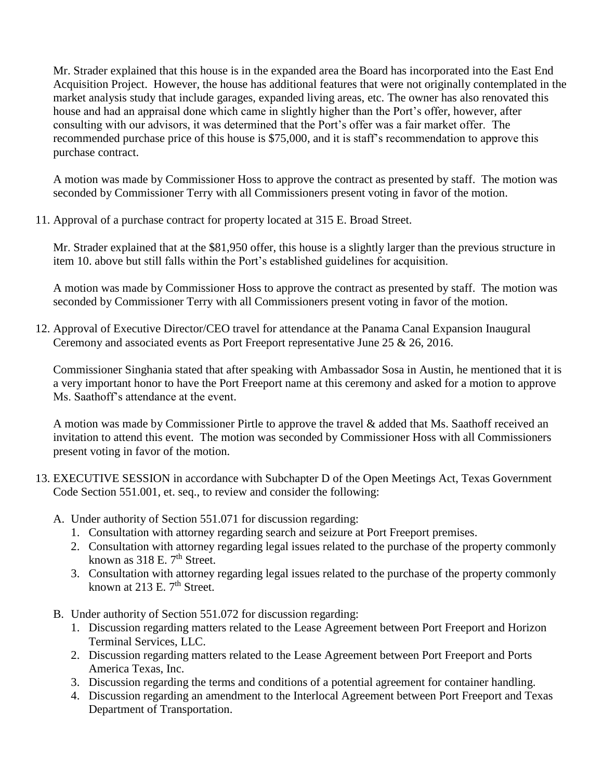Mr. Strader explained that this house is in the expanded area the Board has incorporated into the East End Acquisition Project. However, the house has additional features that were not originally contemplated in the market analysis study that include garages, expanded living areas, etc. The owner has also renovated this house and had an appraisal done which came in slightly higher than the Port's offer, however, after consulting with our advisors, it was determined that the Port's offer was a fair market offer. The recommended purchase price of this house is \$75,000, and it is staff's recommendation to approve this purchase contract.

A motion was made by Commissioner Hoss to approve the contract as presented by staff. The motion was seconded by Commissioner Terry with all Commissioners present voting in favor of the motion.

11. Approval of a purchase contract for property located at 315 E. Broad Street.

Mr. Strader explained that at the \$81,950 offer, this house is a slightly larger than the previous structure in item 10. above but still falls within the Port's established guidelines for acquisition.

A motion was made by Commissioner Hoss to approve the contract as presented by staff. The motion was seconded by Commissioner Terry with all Commissioners present voting in favor of the motion.

12. Approval of Executive Director/CEO travel for attendance at the Panama Canal Expansion Inaugural Ceremony and associated events as Port Freeport representative June 25 & 26, 2016.

Commissioner Singhania stated that after speaking with Ambassador Sosa in Austin, he mentioned that it is a very important honor to have the Port Freeport name at this ceremony and asked for a motion to approve Ms. Saathoff's attendance at the event.

A motion was made by Commissioner Pirtle to approve the travel & added that Ms. Saathoff received an invitation to attend this event. The motion was seconded by Commissioner Hoss with all Commissioners present voting in favor of the motion.

- 13. EXECUTIVE SESSION in accordance with Subchapter D of the Open Meetings Act, Texas Government Code Section 551.001, et. seq., to review and consider the following:
	- A. Under authority of Section 551.071 for discussion regarding:
		- 1. Consultation with attorney regarding search and seizure at Port Freeport premises.
		- 2. Consultation with attorney regarding legal issues related to the purchase of the property commonly known as  $318$  E.  $7<sup>th</sup>$  Street.
		- 3. Consultation with attorney regarding legal issues related to the purchase of the property commonly known at 213 E.  $7<sup>th</sup>$  Street.
	- B. Under authority of Section 551.072 for discussion regarding:
		- 1. Discussion regarding matters related to the Lease Agreement between Port Freeport and Horizon Terminal Services, LLC.
		- 2. Discussion regarding matters related to the Lease Agreement between Port Freeport and Ports America Texas, Inc.
		- 3. Discussion regarding the terms and conditions of a potential agreement for container handling.
		- 4. Discussion regarding an amendment to the Interlocal Agreement between Port Freeport and Texas Department of Transportation.